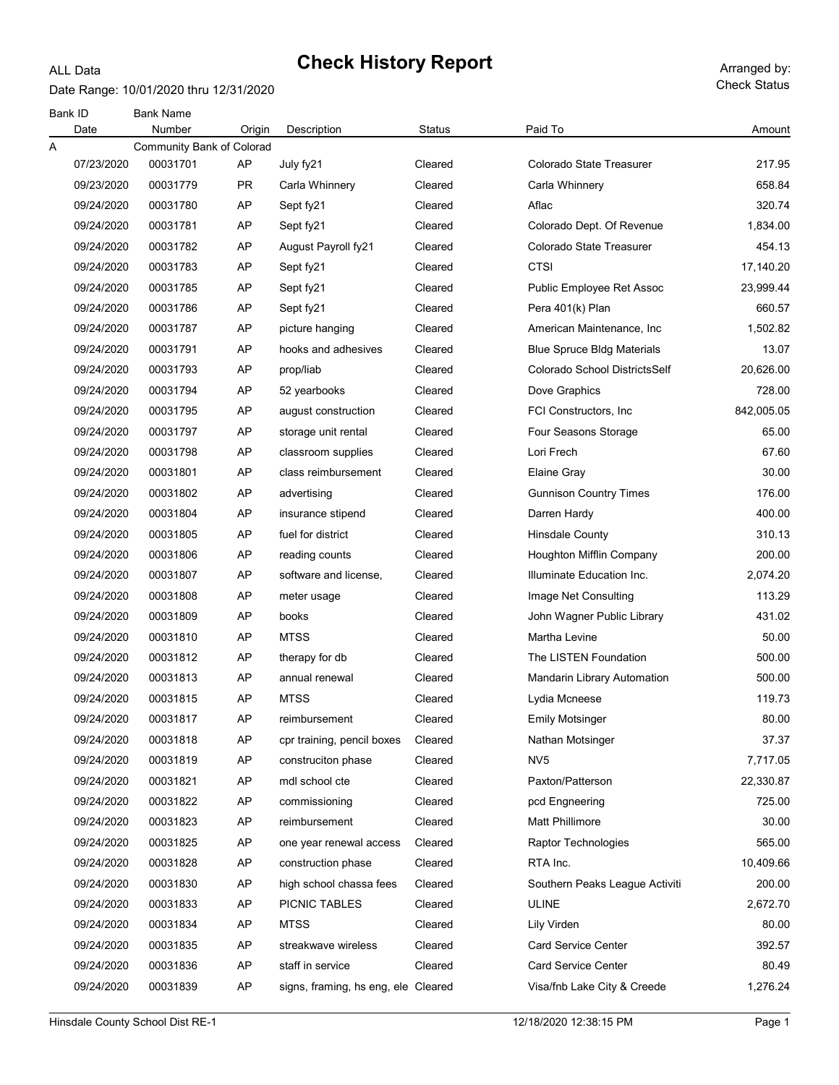#### Date Range: 10/01/2020 thru 12/31/2020

ALL Data

| <b>Bank ID</b> | Date       | <b>Bank Name</b><br>Number | Origin    | Description                         | <b>Status</b> | Paid To                           | Amount     |
|----------------|------------|----------------------------|-----------|-------------------------------------|---------------|-----------------------------------|------------|
| Α              |            | Community Bank of Colorad  |           |                                     |               |                                   |            |
|                | 07/23/2020 | 00031701                   | AP        | July fy21                           | Cleared       | Colorado State Treasurer          | 217.95     |
|                | 09/23/2020 | 00031779                   | <b>PR</b> | Carla Whinnery                      | Cleared       | Carla Whinnery                    | 658.84     |
|                | 09/24/2020 | 00031780                   | AP        | Sept fy21                           | Cleared       | Aflac                             | 320.74     |
|                | 09/24/2020 | 00031781                   | AP        | Sept fy21                           | Cleared       | Colorado Dept. Of Revenue         | 1,834.00   |
|                | 09/24/2020 | 00031782                   | AP        | August Payroll fy21                 | Cleared       | Colorado State Treasurer          | 454.13     |
|                | 09/24/2020 | 00031783                   | AP        | Sept fy21                           | Cleared       | CTSI                              | 17,140.20  |
|                | 09/24/2020 | 00031785                   | AP        | Sept fy21                           | Cleared       | Public Employee Ret Assoc         | 23,999.44  |
|                | 09/24/2020 | 00031786                   | AP        | Sept fy21                           | Cleared       | Pera 401(k) Plan                  | 660.57     |
|                | 09/24/2020 | 00031787                   | AP        | picture hanging                     | Cleared       | American Maintenance, Inc.        | 1,502.82   |
|                | 09/24/2020 | 00031791                   | AP        | hooks and adhesives                 | Cleared       | <b>Blue Spruce Bldg Materials</b> | 13.07      |
|                | 09/24/2020 | 00031793                   | AP        | prop/liab                           | Cleared       | Colorado School DistrictsSelf     | 20,626.00  |
|                | 09/24/2020 | 00031794                   | AP        | 52 yearbooks                        | Cleared       | Dove Graphics                     | 728.00     |
|                | 09/24/2020 | 00031795                   | AP        | august construction                 | Cleared       | FCI Constructors, Inc.            | 842,005.05 |
|                | 09/24/2020 | 00031797                   | AP        | storage unit rental                 | Cleared       | Four Seasons Storage              | 65.00      |
|                | 09/24/2020 | 00031798                   | AP        | classroom supplies                  | Cleared       | Lori Frech                        | 67.60      |
|                | 09/24/2020 | 00031801                   | AP        | class reimbursement                 | Cleared       | Elaine Gray                       | 30.00      |
|                | 09/24/2020 | 00031802                   | AP        | advertising                         | Cleared       | <b>Gunnison Country Times</b>     | 176.00     |
|                | 09/24/2020 | 00031804                   | AP        | insurance stipend                   | Cleared       | Darren Hardy                      | 400.00     |
|                | 09/24/2020 | 00031805                   | AP        | fuel for district                   | Cleared       | Hinsdale County                   | 310.13     |
|                | 09/24/2020 | 00031806                   | AP        | reading counts                      | Cleared       | Houghton Mifflin Company          | 200.00     |
|                | 09/24/2020 | 00031807                   | AP        | software and license,               | Cleared       | Illuminate Education Inc.         | 2,074.20   |
|                | 09/24/2020 | 00031808                   | AP        | meter usage                         | Cleared       | Image Net Consulting              | 113.29     |
|                | 09/24/2020 | 00031809                   | AP        | books                               | Cleared       | John Wagner Public Library        | 431.02     |
|                | 09/24/2020 | 00031810                   | AP        | <b>MTSS</b>                         | Cleared       | Martha Levine                     | 50.00      |
|                | 09/24/2020 | 00031812                   | AP        | therapy for db                      | Cleared       | The LISTEN Foundation             | 500.00     |
|                | 09/24/2020 | 00031813                   | AP        | annual renewal                      | Cleared       | Mandarin Library Automation       | 500.00     |
|                | 09/24/2020 | 00031815                   | AP        | <b>MTSS</b>                         | Cleared       | Lydia Mcneese                     | 119.73     |
|                | 09/24/2020 | 00031817                   | AP        | reimbursement                       | Cleared       | <b>Emily Motsinger</b>            | 80.00      |
|                | 09/24/2020 | 00031818                   | AP        | cpr training, pencil boxes          | Cleared       | Nathan Motsinger                  | 37.37      |
|                | 09/24/2020 | 00031819                   | AP        | construciton phase                  | Cleared       | NV <sub>5</sub>                   | 7,717.05   |
|                | 09/24/2020 | 00031821                   | AP        | mdl school cte                      | Cleared       | Paxton/Patterson                  | 22,330.87  |
|                | 09/24/2020 | 00031822                   | AP        | commissioning                       | Cleared       | pcd Engneering                    | 725.00     |
|                | 09/24/2020 | 00031823                   | AP        | reimbursement                       | Cleared       | Matt Phillimore                   | 30.00      |
|                | 09/24/2020 | 00031825                   | AP        | one year renewal access             | Cleared       | Raptor Technologies               | 565.00     |
|                | 09/24/2020 | 00031828                   | AP        | construction phase                  | Cleared       | RTA Inc.                          | 10,409.66  |
|                | 09/24/2020 | 00031830                   | AP        | high school chassa fees             | Cleared       | Southern Peaks League Activiti    | 200.00     |
|                | 09/24/2020 | 00031833                   | AP        | PICNIC TABLES                       | Cleared       | <b>ULINE</b>                      | 2,672.70   |
|                | 09/24/2020 | 00031834                   | AP        | <b>MTSS</b>                         | Cleared       | Lily Virden                       | 80.00      |
|                | 09/24/2020 | 00031835                   | AP        | streakwave wireless                 | Cleared       | <b>Card Service Center</b>        | 392.57     |
|                | 09/24/2020 | 00031836                   | AP        | staff in service                    | Cleared       | Card Service Center               | 80.49      |
|                | 09/24/2020 | 00031839                   | AP        | signs, framing, hs eng, ele Cleared |               | Visa/fnb Lake City & Creede       | 1,276.24   |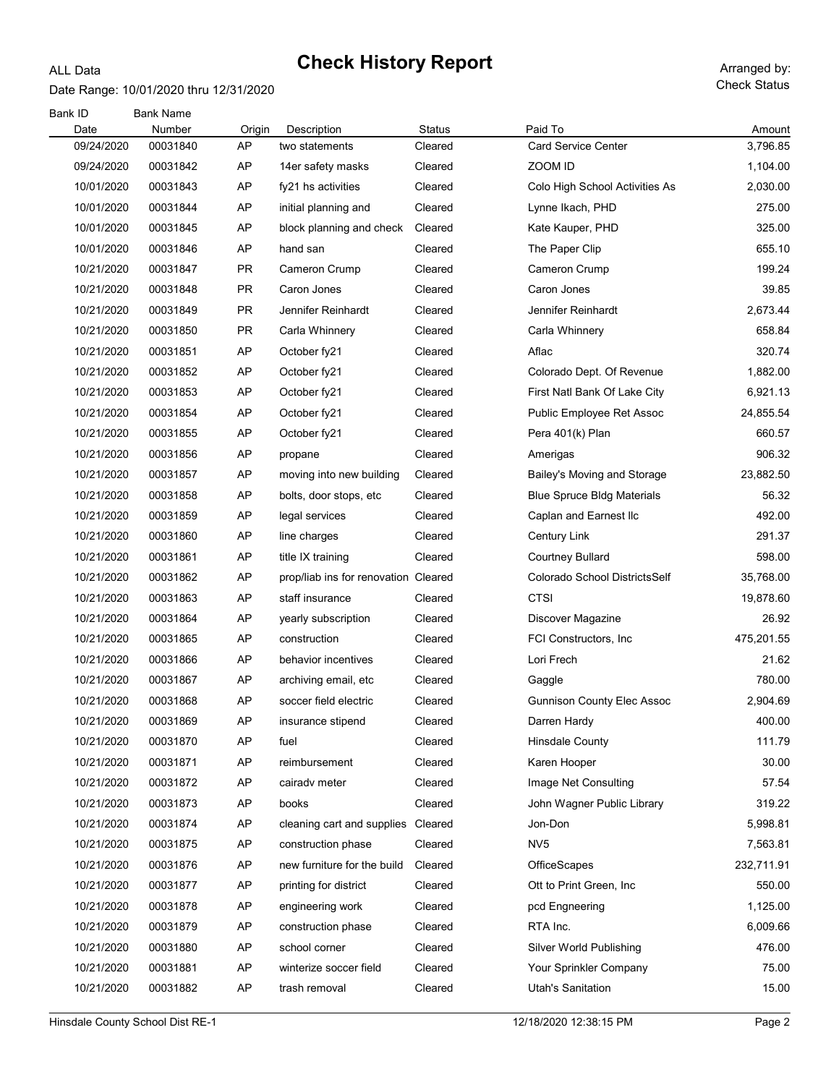### ALL Data Date Range: 10/01/2020 thru 12/31/2020

Check Status

| Bank ID<br><b>Bank Name</b>                                                                            |            |
|--------------------------------------------------------------------------------------------------------|------------|
| Paid To<br>Date<br>Number<br>Description<br><b>Status</b><br>Origin                                    | Amount     |
| 09/24/2020<br>00031840<br>AP<br><b>Card Service Center</b><br>Cleared<br>two statements                | 3,796.85   |
| ZOOM ID<br>00031842<br>AP<br>Cleared<br>09/24/2020<br>14er safety masks                                | 1,104.00   |
| AP<br>10/01/2020<br>00031843<br>Cleared<br>Colo High School Activities As<br>fy21 hs activities        | 2,030.00   |
| AP<br>10/01/2020<br>00031844<br>Cleared<br>initial planning and<br>Lynne Ikach, PHD                    | 275.00     |
| AP<br>10/01/2020<br>00031845<br>Kate Kauper, PHD<br>block planning and check<br>Cleared                | 325.00     |
| 10/01/2020<br>00031846<br>AP<br>The Paper Clip<br>hand san<br>Cleared                                  | 655.10     |
| 10/21/2020<br>00031847<br><b>PR</b><br>Cameron Crump<br>Cleared<br>Cameron Crump                       | 199.24     |
| <b>PR</b><br>10/21/2020<br>00031848<br>Caron Jones<br>Cleared<br>Caron Jones                           | 39.85      |
| 10/21/2020<br><b>PR</b><br>Jennifer Reinhardt<br>Cleared<br>Jennifer Reinhardt<br>00031849             | 2,673.44   |
| 10/21/2020<br>00031850<br><b>PR</b><br>Carla Whinnery<br>Cleared<br>Carla Whinnery                     | 658.84     |
| AP<br>10/21/2020<br>00031851<br>Cleared<br>Aflac<br>October fy21                                       | 320.74     |
| AP<br>10/21/2020<br>Cleared<br>00031852<br>October fy21<br>Colorado Dept. Of Revenue                   | 1,882.00   |
| 10/21/2020<br>AP<br>Cleared<br>00031853<br>October fy21<br>First Natl Bank Of Lake City                | 6,921.13   |
| 10/21/2020<br>00031854<br>AP<br>Cleared<br>October fy21<br>Public Employee Ret Assoc                   | 24,855.54  |
| AP<br>10/21/2020<br>Cleared<br>Pera 401(k) Plan<br>00031855<br>October fy21                            | 660.57     |
| AP<br>10/21/2020<br>Cleared<br>00031856<br>Amerigas<br>propane                                         | 906.32     |
| AP<br>10/21/2020<br>00031857<br>moving into new building<br>Cleared<br>Bailey's Moving and Storage     | 23,882.50  |
| 10/21/2020<br>00031858<br>AP<br><b>Blue Spruce Bldg Materials</b><br>bolts, door stops, etc<br>Cleared | 56.32      |
| 10/21/2020<br>00031859<br>AP<br>Cleared<br>legal services<br>Caplan and Earnest Ilc                    | 492.00     |
| AP<br>10/21/2020<br>00031860<br>line charges<br>Cleared<br>Century Link                                | 291.37     |
| 10/21/2020<br>AP<br>Cleared<br><b>Courtney Bullard</b><br>00031861<br>title IX training                | 598.00     |
| 10/21/2020<br>AP<br>prop/liab ins for renovation Cleared<br>Colorado School DistrictsSelf<br>00031862  | 35,768.00  |
| AP<br>10/21/2020<br>00031863<br>staff insurance<br>Cleared<br><b>CTSI</b>                              | 19,878.60  |
| 10/21/2020<br>AP<br>00031864<br>yearly subscription<br>Cleared<br>Discover Magazine                    | 26.92      |
| 10/21/2020<br>AP<br>Cleared<br>FCI Constructors, Inc.<br>00031865<br>construction                      | 475,201.55 |
| 10/21/2020<br>00031866<br>AP<br>Cleared<br>Lori Frech<br>behavior incentives                           | 21.62      |
| 10/21/2020<br>AP<br>00031867<br>archiving email, etc<br>Cleared<br>Gaggle                              | 780.00     |
| 10/21/2020<br>soccer field electric<br>00031868<br>AP<br>Cleared<br><b>Gunnison County Elec Assoc</b>  | 2,904.69   |
| 10/21/2020<br>00031869<br><b>AP</b><br>Cleared<br>insurance stipend<br>Darren Hardy                    | 400.00     |
| 10/21/2020<br>00031870<br>AP<br><b>Hinsdale County</b><br>fuel<br>Cleared                              | 111.79     |
| AP<br>10/21/2020<br>00031871<br>Cleared<br>Karen Hooper<br>reimbursement                               | 30.00      |
| 10/21/2020<br>00031872<br>AP<br>Cleared<br>Image Net Consulting<br>cairady meter                       | 57.54      |
| 10/21/2020<br>00031873<br>AP<br>Cleared<br>John Wagner Public Library<br>books                         | 319.22     |
| 10/21/2020<br>00031874<br>AP<br>cleaning cart and supplies Cleared<br>Jon-Don                          | 5,998.81   |
| NV <sub>5</sub><br>10/21/2020<br>00031875<br>AP<br>Cleared<br>construction phase                       | 7,563.81   |
| 10/21/2020<br>00031876<br>AP<br>new furniture for the build<br>Cleared<br>OfficeScapes                 | 232,711.91 |
| 10/21/2020<br>00031877<br>AP<br>Ott to Print Green, Inc.<br>printing for district<br>Cleared           | 550.00     |
| 10/21/2020<br>00031878<br>AP<br>engineering work<br>Cleared<br>pcd Engneering                          | 1,125.00   |
| 10/21/2020<br>00031879<br>AP<br>Cleared<br>RTA Inc.<br>construction phase                              | 6,009.66   |
| 10/21/2020<br>00031880<br>AP<br>school corner<br>Cleared<br>Silver World Publishing                    | 476.00     |
| 10/21/2020<br>00031881<br>AP<br>winterize soccer field<br>Cleared<br>Your Sprinkler Company            | 75.00      |
| Utah's Sanitation<br>10/21/2020<br>00031882<br>AP<br>Cleared<br>trash removal                          | 15.00      |

Hinsdale County School Dist RE-1 12/18/2020 12:38:15 PM Page 2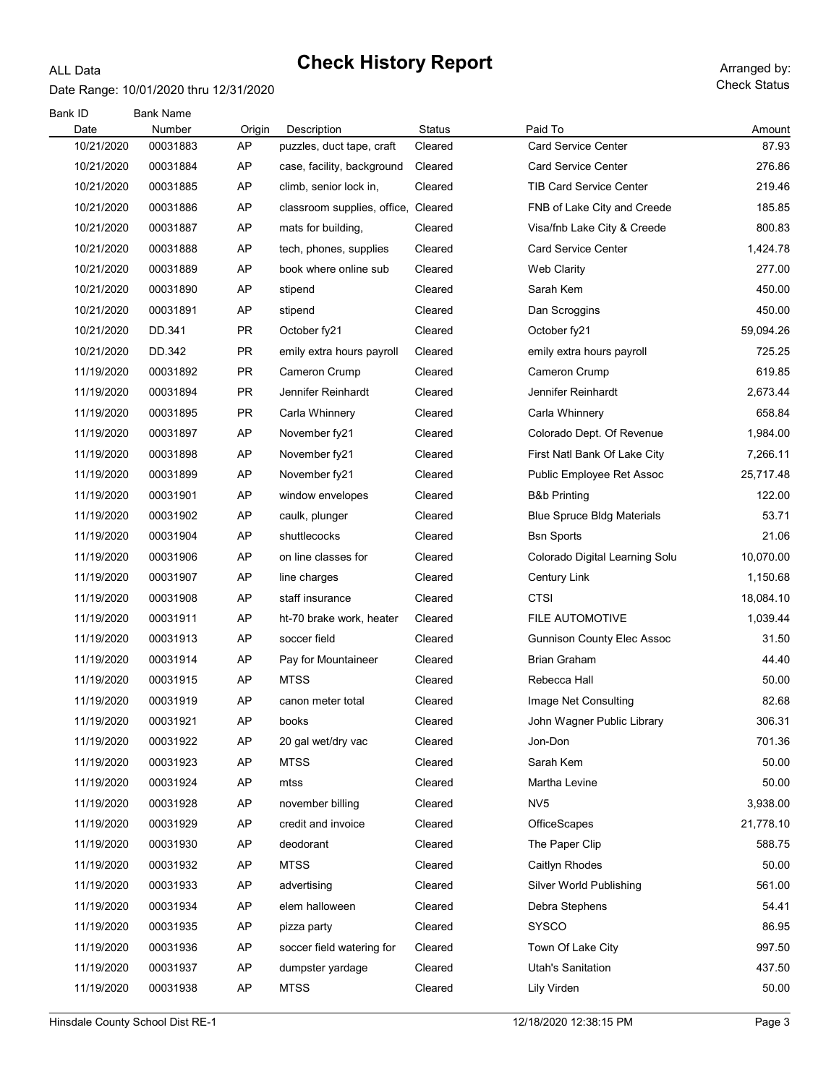#### Date Range: 10/01/2020 thru 12/31/2020

ALL Data

| Bank ID<br>Date | <b>Bank Name</b><br>Number | Origin    | Description                         | <b>Status</b> | Paid To                           | Amount    |
|-----------------|----------------------------|-----------|-------------------------------------|---------------|-----------------------------------|-----------|
| 10/21/2020      | 00031883                   | AP        | puzzles, duct tape, craft           | Cleared       | <b>Card Service Center</b>        | 87.93     |
| 10/21/2020      | 00031884                   | AP        | case, facility, background          | Cleared       | <b>Card Service Center</b>        | 276.86    |
| 10/21/2020      | 00031885                   | AP        | climb, senior lock in,              | Cleared       | <b>TIB Card Service Center</b>    | 219.46    |
| 10/21/2020      | 00031886                   | AP        | classroom supplies, office, Cleared |               | FNB of Lake City and Creede       | 185.85    |
| 10/21/2020      | 00031887                   | AP        | mats for building,                  | Cleared       | Visa/fnb Lake City & Creede       | 800.83    |
| 10/21/2020      | 00031888                   | AP        | tech, phones, supplies              | Cleared       | <b>Card Service Center</b>        | 1,424.78  |
| 10/21/2020      | 00031889                   | AP        | book where online sub               | Cleared       | <b>Web Clarity</b>                | 277.00    |
| 10/21/2020      | 00031890                   | AP        | stipend                             | Cleared       | Sarah Kem                         | 450.00    |
| 10/21/2020      | 00031891                   | AP        | stipend                             | Cleared       | Dan Scroggins                     | 450.00    |
| 10/21/2020      | DD.341                     | PR        | October fy21                        | Cleared       | October fy21                      | 59,094.26 |
| 10/21/2020      | DD.342                     | PR        | emily extra hours payroll           | Cleared       | emily extra hours payroll         | 725.25    |
| 11/19/2020      | 00031892                   | PR        | Cameron Crump                       | Cleared       | Cameron Crump                     | 619.85    |
| 11/19/2020      | 00031894                   | <b>PR</b> | Jennifer Reinhardt                  | Cleared       | Jennifer Reinhardt                | 2,673.44  |
| 11/19/2020      | 00031895                   | <b>PR</b> | Carla Whinnery                      | Cleared       | Carla Whinnery                    | 658.84    |
| 11/19/2020      | 00031897                   | AP        | November fy21                       | Cleared       | Colorado Dept. Of Revenue         | 1,984.00  |
| 11/19/2020      | 00031898                   | AP        | November fy21                       | Cleared       | First Natl Bank Of Lake City      | 7,266.11  |
| 11/19/2020      | 00031899                   | AP        | November fy21                       | Cleared       | Public Employee Ret Assoc         | 25,717.48 |
| 11/19/2020      | 00031901                   | AP        | window envelopes                    | Cleared       | <b>B&amp;b Printing</b>           | 122.00    |
| 11/19/2020      | 00031902                   | AP        | caulk, plunger                      | Cleared       | <b>Blue Spruce Bldg Materials</b> | 53.71     |
| 11/19/2020      | 00031904                   | AP        | shuttlecocks                        | Cleared       | <b>Bsn Sports</b>                 | 21.06     |
| 11/19/2020      | 00031906                   | AP        | on line classes for                 | Cleared       | Colorado Digital Learning Solu    | 10,070.00 |
| 11/19/2020      | 00031907                   | AP        | line charges                        | Cleared       | <b>Century Link</b>               | 1,150.68  |
| 11/19/2020      | 00031908                   | AP        | staff insurance                     | Cleared       | CTSI                              | 18,084.10 |
| 11/19/2020      | 00031911                   | AP        | ht-70 brake work, heater            | Cleared       | <b>FILE AUTOMOTIVE</b>            | 1,039.44  |
| 11/19/2020      | 00031913                   | AP        | soccer field                        | Cleared       | <b>Gunnison County Elec Assoc</b> | 31.50     |
| 11/19/2020      | 00031914                   | AP        | Pay for Mountaineer                 | Cleared       | <b>Brian Graham</b>               | 44.40     |
| 11/19/2020      | 00031915                   | AP        | <b>MTSS</b>                         | Cleared       | Rebecca Hall                      | 50.00     |
| 11/19/2020      | 00031919                   | AP        | canon meter total                   | Cleared       | Image Net Consulting              | 82.68     |
| 11/19/2020      | 00031921                   | AP        | books                               | Cleared       | John Wagner Public Library        | 306.31    |
| 11/19/2020      | 00031922                   | AP        | 20 gal wet/dry vac                  | Cleared       | Jon-Don                           | 701.36    |
| 11/19/2020      | 00031923                   | AP        | <b>MTSS</b>                         | Cleared       | Sarah Kem                         | 50.00     |
| 11/19/2020      | 00031924                   | AP        | mtss                                | Cleared       | Martha Levine                     | 50.00     |
| 11/19/2020      | 00031928                   | AP        | november billing                    | Cleared       | NV <sub>5</sub>                   | 3,938.00  |
| 11/19/2020      | 00031929                   | AP        | credit and invoice                  | Cleared       | OfficeScapes                      | 21,778.10 |
| 11/19/2020      | 00031930                   | AP        | deodorant                           | Cleared       | The Paper Clip                    | 588.75    |
| 11/19/2020      | 00031932                   | AP        | <b>MTSS</b>                         | Cleared       | Caitlyn Rhodes                    | 50.00     |
| 11/19/2020      | 00031933                   | AP        | advertising                         | Cleared       | Silver World Publishing           | 561.00    |
| 11/19/2020      | 00031934                   | AP        | elem halloween                      | Cleared       | Debra Stephens                    | 54.41     |
| 11/19/2020      | 00031935                   | AP        | pizza party                         | Cleared       | <b>SYSCO</b>                      | 86.95     |
| 11/19/2020      | 00031936                   | AP        | soccer field watering for           | Cleared       | Town Of Lake City                 | 997.50    |
| 11/19/2020      | 00031937                   | AP        | dumpster yardage                    | Cleared       | Utah's Sanitation                 | 437.50    |
| 11/19/2020      | 00031938                   | AP        | <b>MTSS</b>                         | Cleared       | Lily Virden                       | 50.00     |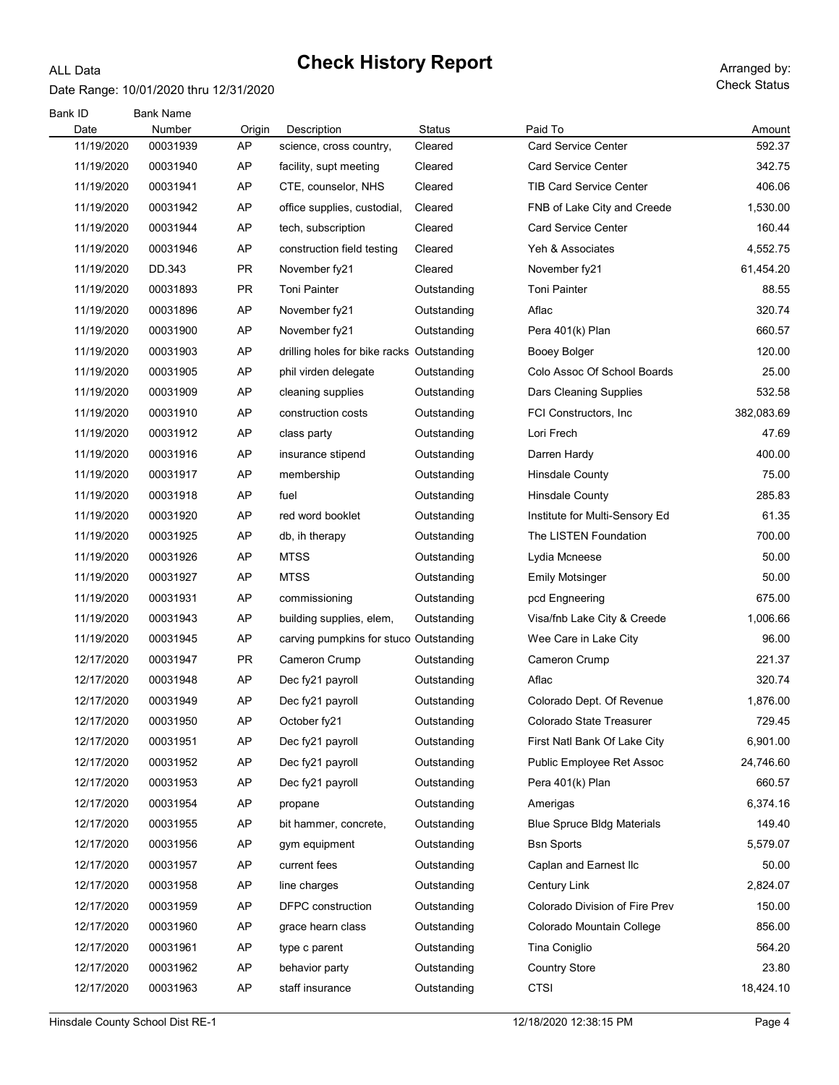### Date Range: 10/01/2020 thru 12/31/2020

ALL Data

| Bank ID<br>Date | <b>Bank Name</b><br>Number | Origin    | Description                               | Status      | Paid To                           | Amount     |
|-----------------|----------------------------|-----------|-------------------------------------------|-------------|-----------------------------------|------------|
| 11/19/2020      | 00031939                   | AP        | science, cross country,                   | Cleared     | <b>Card Service Center</b>        | 592.37     |
| 11/19/2020      | 00031940                   | AP        | facility, supt meeting                    | Cleared     | <b>Card Service Center</b>        | 342.75     |
| 11/19/2020      | 00031941                   | AP        | CTE, counselor, NHS                       | Cleared     | <b>TIB Card Service Center</b>    | 406.06     |
| 11/19/2020      | 00031942                   | AP        | office supplies, custodial,               | Cleared     | FNB of Lake City and Creede       | 1,530.00   |
| 11/19/2020      | 00031944                   | AP        | tech, subscription                        | Cleared     | <b>Card Service Center</b>        | 160.44     |
| 11/19/2020      | 00031946                   | AP        | construction field testing                | Cleared     | Yeh & Associates                  | 4,552.75   |
| 11/19/2020      | DD.343                     | PR        | November fy21                             | Cleared     | November fy21                     | 61,454.20  |
| 11/19/2020      | 00031893                   | <b>PR</b> | Toni Painter                              | Outstanding | <b>Toni Painter</b>               | 88.55      |
| 11/19/2020      | 00031896                   | AP        | November fy21                             | Outstanding | Aflac                             | 320.74     |
| 11/19/2020      | 00031900                   | AP        | November fy21                             | Outstanding | Pera 401(k) Plan                  | 660.57     |
| 11/19/2020      | 00031903                   | AP        | drilling holes for bike racks Outstanding |             | Booey Bolger                      | 120.00     |
| 11/19/2020      | 00031905                   | AP        | phil virden delegate                      | Outstanding | Colo Assoc Of School Boards       | 25.00      |
| 11/19/2020      | 00031909                   | AP        | cleaning supplies                         | Outstanding | <b>Dars Cleaning Supplies</b>     | 532.58     |
| 11/19/2020      | 00031910                   | AP        | construction costs                        | Outstanding | FCI Constructors, Inc.            | 382,083.69 |
| 11/19/2020      | 00031912                   | AP        | class party                               | Outstanding | Lori Frech                        | 47.69      |
| 11/19/2020      | 00031916                   | AP        | insurance stipend                         | Outstanding | Darren Hardy                      | 400.00     |
| 11/19/2020      | 00031917                   | AP        | membership                                | Outstanding | <b>Hinsdale County</b>            | 75.00      |
| 11/19/2020      | 00031918                   | AP        | fuel                                      | Outstanding | <b>Hinsdale County</b>            | 285.83     |
| 11/19/2020      | 00031920                   | AP        | red word booklet                          | Outstanding | Institute for Multi-Sensory Ed    | 61.35      |
| 11/19/2020      | 00031925                   | AP        | db, ih therapy                            | Outstanding | The LISTEN Foundation             | 700.00     |
| 11/19/2020      | 00031926                   | AP        | <b>MTSS</b>                               | Outstanding | Lydia Mcneese                     | 50.00      |
| 11/19/2020      | 00031927                   | AP        | <b>MTSS</b>                               | Outstanding | Emily Motsinger                   | 50.00      |
| 11/19/2020      | 00031931                   | AP        | commissioning                             | Outstanding | pcd Engneering                    | 675.00     |
| 11/19/2020      | 00031943                   | AP        | building supplies, elem,                  | Outstanding | Visa/fnb Lake City & Creede       | 1,006.66   |
| 11/19/2020      | 00031945                   | AP        | carving pumpkins for stuco Outstanding    |             | Wee Care in Lake City             | 96.00      |
| 12/17/2020      | 00031947                   | <b>PR</b> | Cameron Crump                             | Outstanding | Cameron Crump                     | 221.37     |
| 12/17/2020      | 00031948                   | AP        | Dec fy21 payroll                          | Outstanding | Aflac                             | 320.74     |
| 12/17/2020      | 00031949                   | AP        | Dec fy21 payroll                          | Outstanding | Colorado Dept. Of Revenue         | 1,876.00   |
| 12/17/2020      | 00031950                   | AP        | October fy21                              | Outstanding | Colorado State Treasurer          | 729.45     |
| 12/17/2020      | 00031951                   | AP        | Dec fy21 payroll                          | Outstanding | First Natl Bank Of Lake City      | 6,901.00   |
| 12/17/2020      | 00031952                   | AP        | Dec fy21 payroll                          | Outstanding | Public Employee Ret Assoc         | 24,746.60  |
| 12/17/2020      | 00031953                   | AP        | Dec fy21 payroll                          | Outstanding | Pera 401(k) Plan                  | 660.57     |
| 12/17/2020      | 00031954                   | AP        | propane                                   | Outstanding | Amerigas                          | 6,374.16   |
| 12/17/2020      | 00031955                   | AP        | bit hammer, concrete,                     | Outstanding | <b>Blue Spruce Bldg Materials</b> | 149.40     |
| 12/17/2020      | 00031956                   | AP        | gym equipment                             | Outstanding | <b>Bsn Sports</b>                 | 5,579.07   |
| 12/17/2020      | 00031957                   | AP        | current fees                              | Outstanding | Caplan and Earnest Ilc            | 50.00      |
| 12/17/2020      | 00031958                   | AP        | line charges                              | Outstanding | Century Link                      | 2,824.07   |
| 12/17/2020      | 00031959                   | AP        | <b>DFPC</b> construction                  | Outstanding | Colorado Division of Fire Prev    | 150.00     |
| 12/17/2020      | 00031960                   | AP        | grace hearn class                         | Outstanding | Colorado Mountain College         | 856.00     |
| 12/17/2020      | 00031961                   | AP        | type c parent                             | Outstanding | Tina Coniglio                     | 564.20     |
| 12/17/2020      | 00031962                   | AP        | behavior party                            | Outstanding | <b>Country Store</b>              | 23.80      |
| 12/17/2020      | 00031963                   | AP        | staff insurance                           | Outstanding | <b>CTSI</b>                       | 18,424.10  |